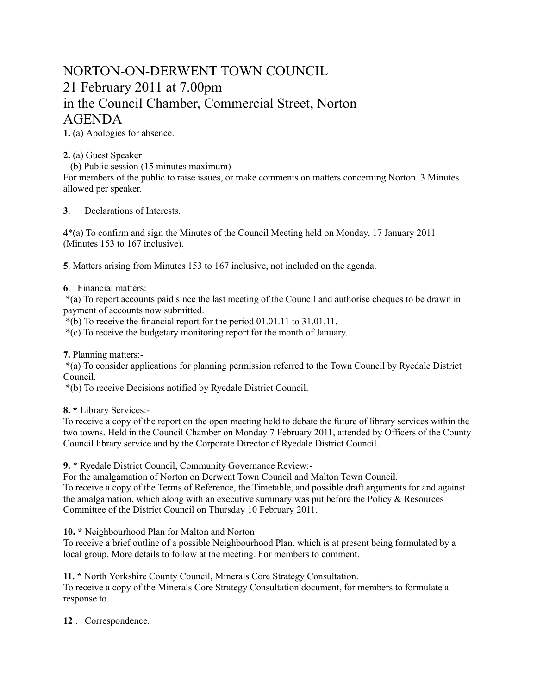## NORTON-ON-DERWENT TOWN COUNCIL 21 February 2011 at 7.00pm in the Council Chamber, Commercial Street, Norton AGENDA

**1.** (a) Apologies for absence.

**2.** (a) Guest Speaker

(b) Public session (15 minutes maximum)

For members of the public to raise issues, or make comments on matters concerning Norton. 3 Minutes allowed per speaker.

**3**. Declarations of Interests.

**4**\*(a) To confirm and sign the Minutes of the Council Meeting held on Monday, 17 January 2011 (Minutes 153 to 167 inclusive).

**5**. Matters arising from Minutes 153 to 167 inclusive, not included on the agenda.

## **6**. Financial matters:

 \*(a) To report accounts paid since the last meeting of the Council and authorise cheques to be drawn in payment of accounts now submitted.

\*(b) To receive the financial report for the period 01.01.11 to 31.01.11.

\*(c) To receive the budgetary monitoring report for the month of January.

**7.** Planning matters:-

 \*(a) To consider applications for planning permission referred to the Town Council by Ryedale District Council.

\*(b) To receive Decisions notified by Ryedale District Council.

**8. \*** Library Services:-

To receive a copy of the report on the open meeting held to debate the future of library services within the two towns. Held in the Council Chamber on Monday 7 February 2011, attended by Officers of the County Council library service and by the Corporate Director of Ryedale District Council.

**9.** \* Ryedale District Council, Community Governance Review:-

For the amalgamation of Norton on Derwent Town Council and Malton Town Council. To receive a copy of the Terms of Reference, the Timetable, and possible draft arguments for and against the amalgamation, which along with an executive summary was put before the Policy  $\&$  Resources Committee of the District Council on Thursday 10 February 2011.

**10. \*** Neighbourhood Plan for Malton and Norton

To receive a brief outline of a possible Neighbourhood Plan, which is at present being formulated by a local group. More details to follow at the meeting. For members to comment.

**11. \*** North Yorkshire County Council, Minerals Core Strategy Consultation. To receive a copy of the Minerals Core Strategy Consultation document, for members to formulate a response to.

**12** . Correspondence.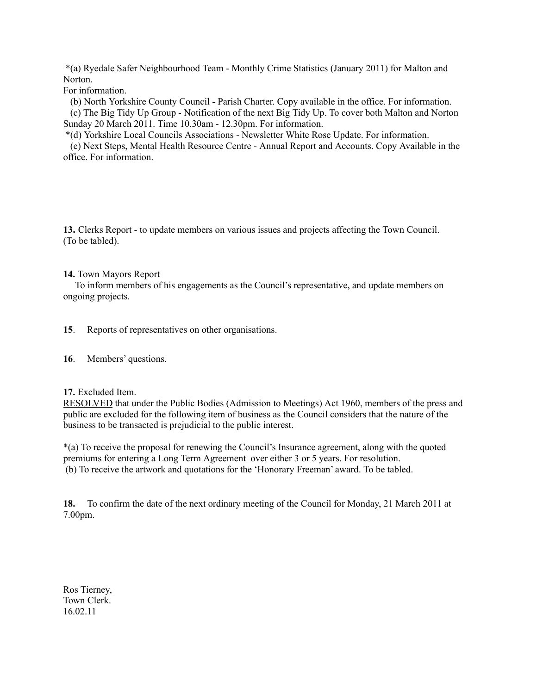\*(a) Ryedale Safer Neighbourhood Team - Monthly Crime Statistics (January 2011) for Malton and Norton.

For information.

 (b) North Yorkshire County Council - Parish Charter. Copy available in the office. For information. (c) The Big Tidy Up Group - Notification of the next Big Tidy Up. To cover both Malton and Norton Sunday 20 March 2011. Time 10.30am - 12.30pm. For information.

\*(d) Yorkshire Local Councils Associations - Newsletter White Rose Update. For information.

 (e) Next Steps, Mental Health Resource Centre - Annual Report and Accounts. Copy Available in the office. For information.

**13.** Clerks Report - to update members on various issues and projects affecting the Town Council. (To be tabled).

**14.** Town Mayors Report

 To inform members of his engagements as the Council's representative, and update members on ongoing projects.

**15**. Reports of representatives on other organisations.

**16**. Members' questions.

**17.** Excluded Item.

RESOLVED that under the Public Bodies (Admission to Meetings) Act 1960, members of the press and public are excluded for the following item of business as the Council considers that the nature of the business to be transacted is prejudicial to the public interest.

\*(a) To receive the proposal for renewing the Council's Insurance agreement, along with the quoted premiums for entering a Long Term Agreement over either 3 or 5 years. For resolution. (b) To receive the artwork and quotations for the 'Honorary Freeman' award. To be tabled.

**18.** To confirm the date of the next ordinary meeting of the Council for Monday, 21 March 2011 at 7.00pm.

Ros Tierney, Town Clerk. 16.02.11